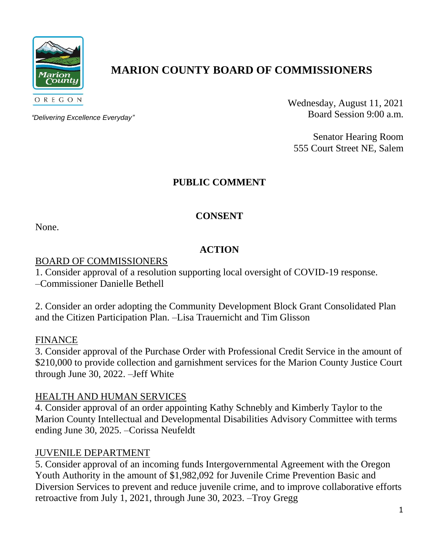

# **MARION COUNTY BOARD OF COMMISSIONERS**

*"Delivering Excellence Everyday"*

Wednesday, August 11, 2021 Board Session 9:00 a.m.

Senator Hearing Room 555 Court Street NE, Salem

# **PUBLIC COMMENT**

# **CONSENT**

None.

# **ACTION**

## BOARD OF COMMISSIONERS

1. Consider approval of a resolution supporting local oversight of COVID-19 response.

–Commissioner Danielle Bethell

2. Consider an order adopting the Community Development Block Grant Consolidated Plan and the Citizen Participation Plan. –Lisa Trauernicht and Tim Glisson

## FINANCE

3. Consider approval of the Purchase Order with Professional Credit Service in the amount of \$210,000 to provide collection and garnishment services for the Marion County Justice Court through June 30, 2022. –Jeff White

## HEALTH AND HUMAN SERVICES

4. Consider approval of an order appointing Kathy Schnebly and Kimberly Taylor to the Marion County Intellectual and Developmental Disabilities Advisory Committee with terms ending June 30, 2025. –Corissa Neufeldt

## JUVENILE DEPARTMENT

5. Consider approval of an incoming funds Intergovernmental Agreement with the Oregon Youth Authority in the amount of \$1,982,092 for Juvenile Crime Prevention Basic and Diversion Services to prevent and reduce juvenile crime, and to improve collaborative efforts retroactive from July 1, 2021, through June 30, 2023. –Troy Gregg